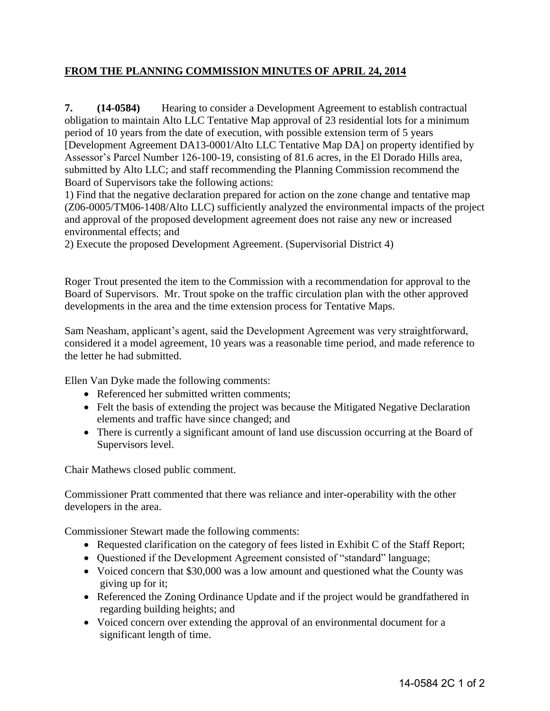## **FROM THE PLANNING COMMISSION MINUTES OF APRIL 24, 2014**

**7.** (14-0584) Hearing to consider a Development Agreement to establish contractual obligation to maintain Alto LLC Tentative Map approval of 23 residential lots for a minimum period of 10 years from the date of execution, with possible extension term of 5 years [Development Agreement DA13-0001/Alto LLC Tentative Map DA] on property identified by Assessor's Parcel Number 126-100-19, consisting of 81.6 acres, in the El Dorado Hills area, submitted by Alto LLC; and staff recommending the Planning Commission recommend the Board of Supervisors take the following actions:

1) Find that the negative declaration prepared for action on the zone change and tentative map (Z06-0005/TM06-1408/Alto LLC) sufficiently analyzed the environmental impacts of the project and approval of the proposed development agreement does not raise any new or increased environmental effects; and

2) Execute the proposed Development Agreement. (Supervisorial District 4)

Roger Trout presented the item to the Commission with a recommendation for approval to the Board of Supervisors. Mr. Trout spoke on the traffic circulation plan with the other approved developments in the area and the time extension process for Tentative Maps.

Sam Neasham, applicant's agent, said the Development Agreement was very straightforward, considered it a model agreement, 10 years was a reasonable time period, and made reference to the letter he had submitted.

Ellen Van Dyke made the following comments:

- Referenced her submitted written comments;
- Felt the basis of extending the project was because the Mitigated Negative Declaration elements and traffic have since changed; and
- There is currently a significant amount of land use discussion occurring at the Board of Supervisors level.

Chair Mathews closed public comment.

Commissioner Pratt commented that there was reliance and inter-operability with the other developers in the area.

Commissioner Stewart made the following comments:

- Requested clarification on the category of fees listed in Exhibit C of the Staff Report;
- Questioned if the Development Agreement consisted of "standard" language;
- Voiced concern that \$30,000 was a low amount and questioned what the County was giving up for it;
- Referenced the Zoning Ordinance Update and if the project would be grandfathered in regarding building heights; and
- Voiced concern over extending the approval of an environmental document for a significant length of time.